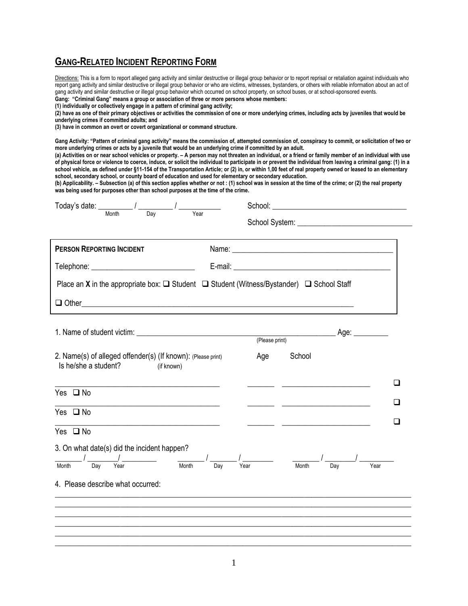## **GANG-RELATED INCIDENT REPORTING FORM**

Directions: This is a form to report alleged gang activity and similar destructive or illegal group behavior or to report reprisal or retaliation against individuals who report gang activity and similar destructive or illegal group behavior or who are victims, witnesses, bystanders, or others with reliable information about an act of gang activity and similar destructive or illegal group behavior which occurred on school property, on school buses, or at school-sponsored events. **Gang: "Criminal Gang" means a group or association of three or more persons whose members:**

**(1) individually or collectively engage in a pattern of criminal gang activity;**

**(2) have as one of their primary objectives or activities the commission of one or more underlying crimes, including acts by juveniles that would be underlying crimes if committed adults; and**

**(3) have in common an overt or covert organizational or command structure.** 

**Gang Activity: "Pattern of criminal gang activity" means the commission of, attempted commission of, conspiracy to commit, or solicitation of two or more underlying crimes or acts by a juvenile that would be an underlying crime if committed by an adult.** 

**(a) Activities on or near school vehicles or property. – A person may not threaten an individual, or a friend or family member of an individual with use of physical force or violence to coerce, induce, or solicit the individual to participate in or prevent the individual from leaving a criminal gang: (1) in a school vehicle, as defined under §11-154 of the Transportation Article; or (2) in, or within 1,00 feet of real property owned or leased to an elementary school, secondary school, or county board of education and used for elementary or secondary education.**

**(b) Applicability. – Subsection (a) of this section applies whether or not : (1) school was in session at the time of the crime; or (2) the real property was being used for purposes other than school purposes at the time of the crime.** 

| Today's date: $\frac{1}{\frac{M_{\text{on}}}{N_{\text{on}}} \frac{1}{N_{\text{on}}} \frac{1}{N_{\text{on}}} \frac{1}{N_{\text{on}}}$ |                                                                                                                                                                                                                                                                                                                                                                                                                                           |
|--------------------------------------------------------------------------------------------------------------------------------------|-------------------------------------------------------------------------------------------------------------------------------------------------------------------------------------------------------------------------------------------------------------------------------------------------------------------------------------------------------------------------------------------------------------------------------------------|
|                                                                                                                                      |                                                                                                                                                                                                                                                                                                                                                                                                                                           |
| <b>PERSON REPORTING INCIDENT</b>                                                                                                     |                                                                                                                                                                                                                                                                                                                                                                                                                                           |
|                                                                                                                                      |                                                                                                                                                                                                                                                                                                                                                                                                                                           |
|                                                                                                                                      | Place an X in the appropriate box: $\Box$ Student $\Box$ Student (Witness/Bystander) $\Box$ School Staff                                                                                                                                                                                                                                                                                                                                  |
|                                                                                                                                      |                                                                                                                                                                                                                                                                                                                                                                                                                                           |
|                                                                                                                                      |                                                                                                                                                                                                                                                                                                                                                                                                                                           |
|                                                                                                                                      | (Please print)                                                                                                                                                                                                                                                                                                                                                                                                                            |
| 2. Name(s) of alleged offender(s) (If known): (Please print)<br>Is he/she a student?<br>(if known)                                   | Age<br>School                                                                                                                                                                                                                                                                                                                                                                                                                             |
| Yes $\square$ No                                                                                                                     |                                                                                                                                                                                                                                                                                                                                                                                                                                           |
| Yes $\Box$ No                                                                                                                        | □                                                                                                                                                                                                                                                                                                                                                                                                                                         |
| the control of the control of the control of the control of the control of the control of<br>Yes $\square$ No                        |                                                                                                                                                                                                                                                                                                                                                                                                                                           |
| 3. On what date(s) did the incident happen?<br>Month                                                                                 | $\frac{1}{\sqrt{1-\frac{1}{\sqrt{1-\frac{1}{\sqrt{1-\frac{1}{\sqrt{1-\frac{1}{\sqrt{1-\frac{1}{\sqrt{1-\frac{1}{\sqrt{1-\frac{1}{\sqrt{1-\frac{1}{\sqrt{1-\frac{1}{\sqrt{1-\frac{1}{\sqrt{1-\frac{1}{\sqrt{1-\frac{1}{\sqrt{1-\frac{1}{\sqrt{1-\frac{1}{\sqrt{1-\frac{1}{\sqrt{1-\frac{1}{\sqrt{1-\frac{1}{\sqrt{1-\frac{1}{\sqrt{1-\frac{1}{\sqrt{1-\frac{1}{\sqrt{1-\frac{1}{\sqrt{1-\frac{1}{\sqrt{1-\frac{1}{\sqrt{1-\frac{1$<br>Year |
| 4. Please describe what occurred:                                                                                                    |                                                                                                                                                                                                                                                                                                                                                                                                                                           |
|                                                                                                                                      |                                                                                                                                                                                                                                                                                                                                                                                                                                           |
|                                                                                                                                      |                                                                                                                                                                                                                                                                                                                                                                                                                                           |
|                                                                                                                                      |                                                                                                                                                                                                                                                                                                                                                                                                                                           |
|                                                                                                                                      |                                                                                                                                                                                                                                                                                                                                                                                                                                           |